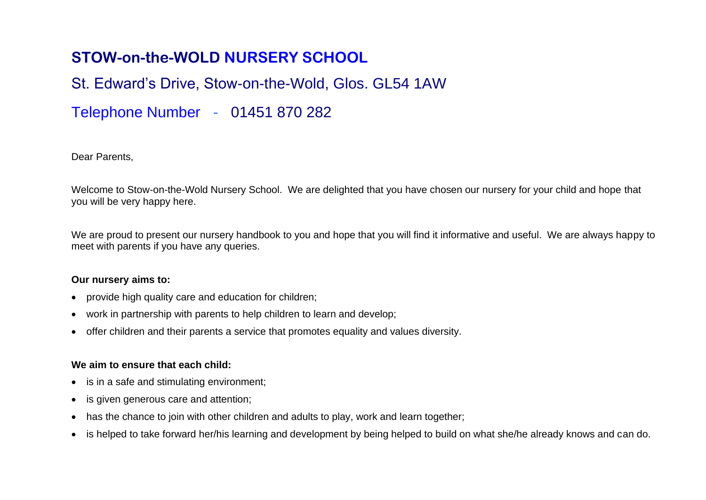# **STOW-on-the-WOLD NURSERY SCHOOL**

# St. Edward's Drive, Stow-on-the-Wold, Glos. GL54 1AW

# Telephone Number - 01451 870 282

Dear Parents,

Welcome to Stow-on-the-Wold Nursery School. We are delighted that you have chosen our nursery for your child and hope that you will be very happy here.

We are proud to present our nursery handbook to you and hope that you will find it informative and useful. We are always happy to meet with parents if you have any queries.

#### **Our nursery aims to:**

- provide high quality care and education for children;
- work in partnership with parents to help children to learn and develop;
- offer children and their parents a service that promotes equality and values diversity.

## **We aim to ensure that each child:**

- is in a safe and stimulating environment;
- is given generous care and attention;
- has the chance to join with other children and adults to play, work and learn together;
- is helped to take forward her/his learning and development by being helped to build on what she/he already knows and can do.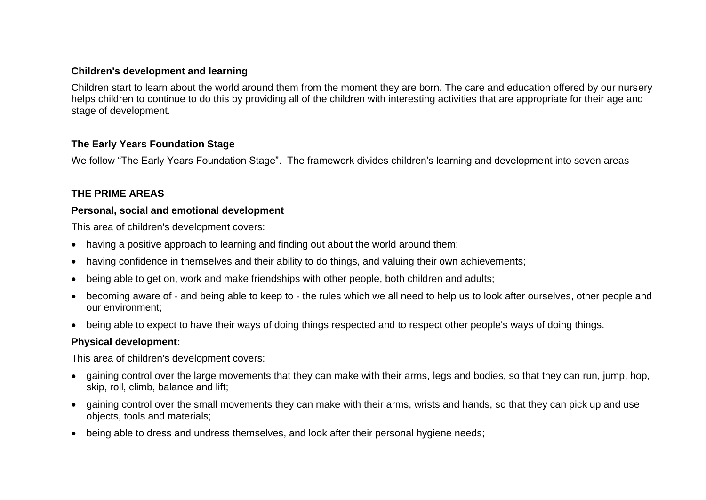#### **Children's development and learning**

Children start to learn about the world around them from the moment they are born. The care and education offered by our nursery helps children to continue to do this by providing all of the children with interesting activities that are appropriate for their age and stage of development.

#### **The Early Years Foundation Stage**

We follow "The Early Years Foundation Stage". The framework divides children's learning and development into seven areas

# **THE PRIME AREAS**

#### **Personal, social and emotional development**

This area of children's development covers:

- having a positive approach to learning and finding out about the world around them;
- having confidence in themselves and their ability to do things, and valuing their own achievements;
- being able to get on, work and make friendships with other people, both children and adults;
- becoming aware of and being able to keep to the rules which we all need to help us to look after ourselves, other people and our environment;
- being able to expect to have their ways of doing things respected and to respect other people's ways of doing things.

#### **Physical development:**

This area of children's development covers:

- gaining control over the large movements that they can make with their arms, legs and bodies, so that they can run, jump, hop, skip, roll, climb, balance and lift;
- gaining control over the small movements they can make with their arms, wrists and hands, so that they can pick up and use objects, tools and materials;
- being able to dress and undress themselves, and look after their personal hygiene needs;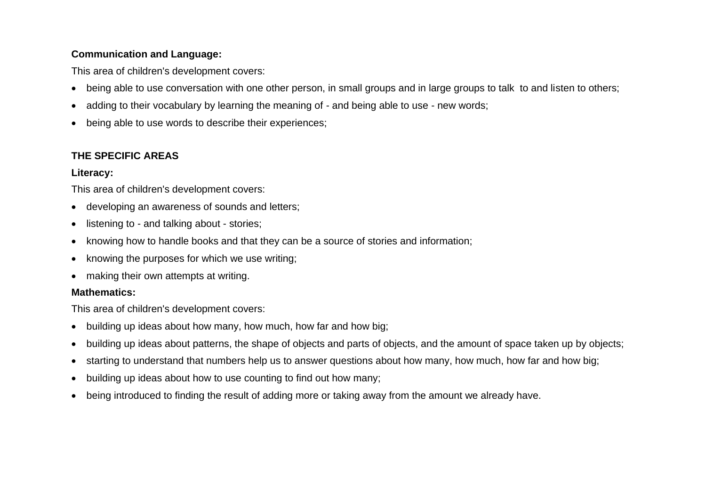# **Communication and Language:**

This area of children's development covers:

- being able to use conversation with one other person, in small groups and in large groups to talk to and listen to others;
- adding to their vocabulary by learning the meaning of and being able to use new words;
- being able to use words to describe their experiences;

# **THE SPECIFIC AREAS**

## **Literacy:**

This area of children's development covers:

- developing an awareness of sounds and letters;
- listening to and talking about stories;
- knowing how to handle books and that they can be a source of stories and information;
- knowing the purposes for which we use writing;
- making their own attempts at writing.

## **Mathematics:**

This area of children's development covers:

- building up ideas about how many, how much, how far and how big;
- building up ideas about patterns, the shape of objects and parts of objects, and the amount of space taken up by objects;
- starting to understand that numbers help us to answer questions about how many, how much, how far and how big;
- building up ideas about how to use counting to find out how many;
- being introduced to finding the result of adding more or taking away from the amount we already have.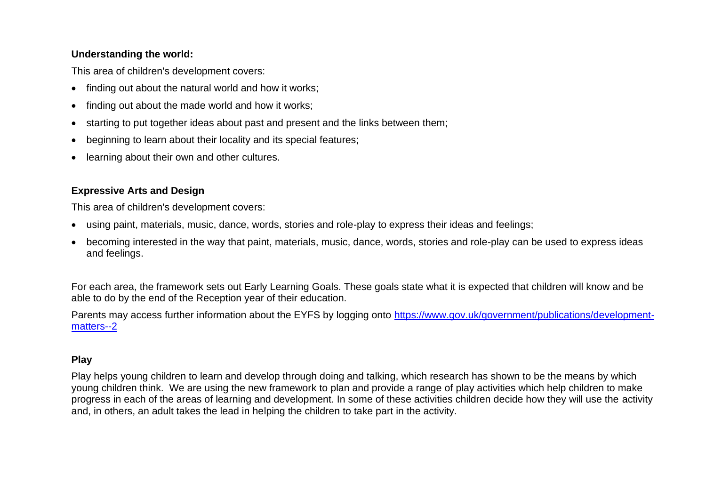## **Understanding the world:**

This area of children's development covers:

- finding out about the natural world and how it works;
- finding out about the made world and how it works;
- starting to put together ideas about past and present and the links between them;
- beginning to learn about their locality and its special features;
- learning about their own and other cultures.

# **Expressive Arts and Design**

This area of children's development covers:

- using paint, materials, music, dance, words, stories and role-play to express their ideas and feelings;
- becoming interested in the way that paint, materials, music, dance, words, stories and role-play can be used to express ideas and feelings.

For each area, the framework sets out Early Learning Goals. These goals state what it is expected that children will know and be able to do by the end of the Reception year of their education.

Parents may access further information about the EYFS by logging onto [https://www.gov.uk/government/publications/development](https://www.gov.uk/government/publications/development-matters--2)[matters--2](https://www.gov.uk/government/publications/development-matters--2)

# **Play**

Play helps young children to learn and develop through doing and talking, which research has shown to be the means by which young children think. We are using the new framework to plan and provide a range of play activities which help children to make progress in each of the areas of learning and development. In some of these activities children decide how they will use the activity and, in others, an adult takes the lead in helping the children to take part in the activity.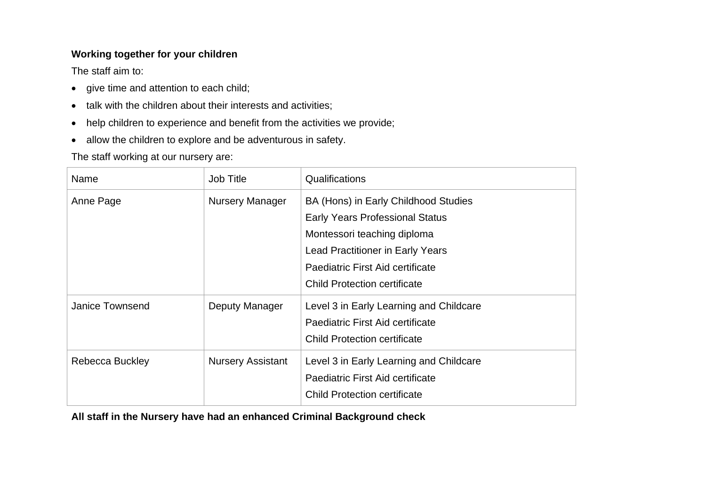# **Working together for your children**

The staff aim to:

- give time and attention to each child;
- talk with the children about their interests and activities;
- help children to experience and benefit from the activities we provide;
- allow the children to explore and be adventurous in safety.

The staff working at our nursery are:

| Name            | Job Title                | Qualifications                                                                                                                                                                                                                      |
|-----------------|--------------------------|-------------------------------------------------------------------------------------------------------------------------------------------------------------------------------------------------------------------------------------|
| Anne Page       | <b>Nursery Manager</b>   | BA (Hons) in Early Childhood Studies<br><b>Early Years Professional Status</b><br>Montessori teaching diploma<br><b>Lead Practitioner in Early Years</b><br>Paediatric First Aid certificate<br><b>Child Protection certificate</b> |
| Janice Townsend | Deputy Manager           | Level 3 in Early Learning and Childcare<br>Paediatric First Aid certificate<br><b>Child Protection certificate</b>                                                                                                                  |
| Rebecca Buckley | <b>Nursery Assistant</b> | Level 3 in Early Learning and Childcare<br>Paediatric First Aid certificate<br><b>Child Protection certificate</b>                                                                                                                  |

**All staff in the Nursery have had an enhanced Criminal Background check**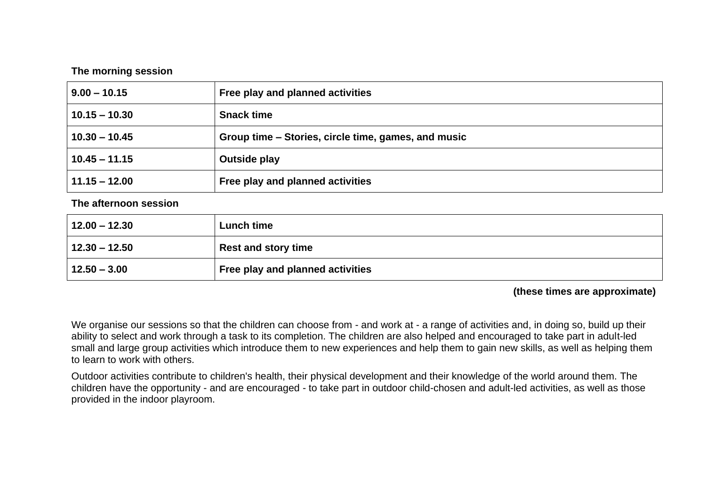#### **The morning session**

| $9.00 - 10.15$  | Free play and planned activities                    |  |
|-----------------|-----------------------------------------------------|--|
| $10.15 - 10.30$ | <b>Snack time</b>                                   |  |
| $10.30 - 10.45$ | Group time – Stories, circle time, games, and music |  |
| $10.45 - 11.15$ | <b>Outside play</b>                                 |  |
| $11.15 - 12.00$ | Free play and planned activities                    |  |

**The afternoon session**

| $12.00 - 12.30$   | Lunch time                       |
|-------------------|----------------------------------|
| $ 12.30 - 12.50 $ | <b>Rest and story time</b>       |
| $12.50 - 3.00$    | Free play and planned activities |

#### **(these times are approximate)**

We organise our sessions so that the children can choose from - and work at - a range of activities and, in doing so, build up their ability to select and work through a task to its completion. The children are also helped and encouraged to take part in adult-led small and large group activities which introduce them to new experiences and help them to gain new skills, as well as helping them to learn to work with others.

Outdoor activities contribute to children's health, their physical development and their knowledge of the world around them. The children have the opportunity - and are encouraged - to take part in outdoor child-chosen and adult-led activities, as well as those provided in the indoor playroom.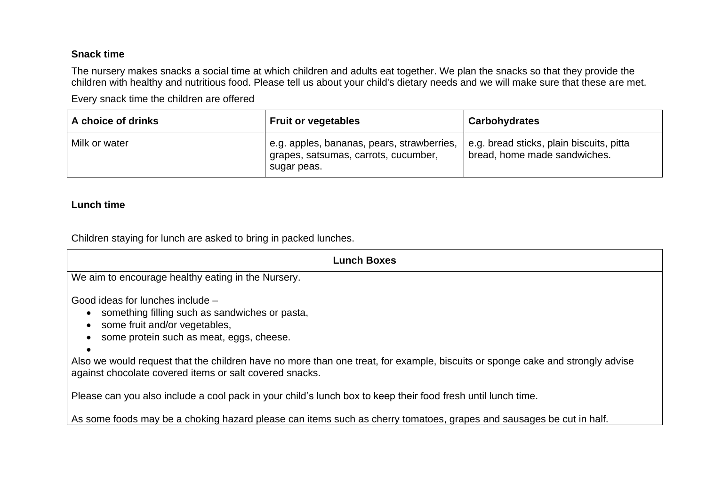# **Snack time**

The nursery makes snacks a social time at which children and adults eat together. We plan the snacks so that they provide the children with healthy and nutritious food. Please tell us about your child's dietary needs and we will make sure that these are met.

Every snack time the children are offered

| A choice of drinks | <b>Fruit or vegetables</b>                                                                        | <b>Carbohydrates</b>                                                     |
|--------------------|---------------------------------------------------------------------------------------------------|--------------------------------------------------------------------------|
| Milk or water      | e.g. apples, bananas, pears, strawberries,<br>grapes, satsumas, carrots, cucumber,<br>sugar peas. | e.g. bread sticks, plain biscuits, pitta<br>bread, home made sandwiches. |

## **Lunch time**

Children staying for lunch are asked to bring in packed lunches.

| Lunch Boxes                                                                                                                                                                                                                                                                                                                                                                           |  |  |  |
|---------------------------------------------------------------------------------------------------------------------------------------------------------------------------------------------------------------------------------------------------------------------------------------------------------------------------------------------------------------------------------------|--|--|--|
| We aim to encourage healthy eating in the Nursery.                                                                                                                                                                                                                                                                                                                                    |  |  |  |
| Good ideas for lunches include -<br>something filling such as sandwiches or pasta,<br>$\bullet$<br>some fruit and/or vegetables,<br>some protein such as meat, eggs, cheese.<br>$\bullet$<br>Also we would request that the children have no more than one treat, for example, biscuits or sponge cake and strongly advise<br>against chocolate covered items or salt covered snacks. |  |  |  |
| Please can you also include a cool pack in your child's lunch box to keep their food fresh until lunch time.                                                                                                                                                                                                                                                                          |  |  |  |

As some foods may be a choking hazard please can items such as cherry tomatoes, grapes and sausages be cut in half.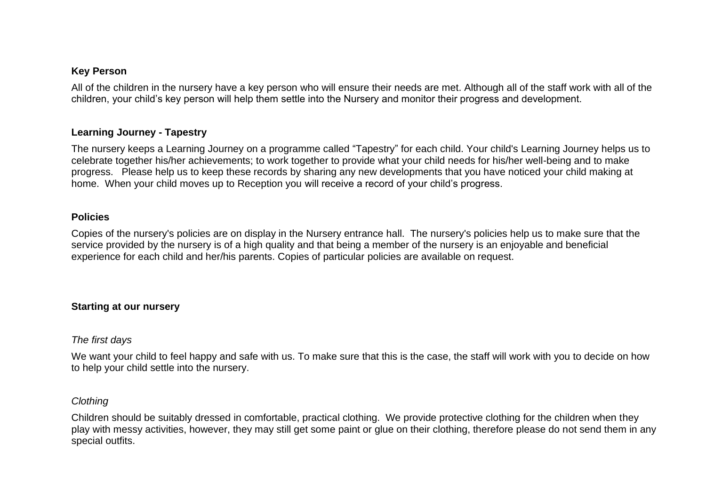#### **Key Person**

All of the children in the nursery have a key person who will ensure their needs are met. Although all of the staff work with all of the children, your child's key person will help them settle into the Nursery and monitor their progress and development.

#### **Learning Journey - Tapestry**

The nursery keeps a Learning Journey on a programme called "Tapestry" for each child. Your child's Learning Journey helps us to celebrate together his/her achievements; to work together to provide what your child needs for his/her well-being and to make progress. Please help us to keep these records by sharing any new developments that you have noticed your child making at home. When your child moves up to Reception you will receive a record of your child's progress.

#### **Policies**

Copies of the nursery's policies are on display in the Nursery entrance hall. The nursery's policies help us to make sure that the service provided by the nursery is of a high quality and that being a member of the nursery is an enjoyable and beneficial experience for each child and her/his parents. Copies of particular policies are available on request.

#### **Starting at our nursery**

#### *The first days*

We want your child to feel happy and safe with us. To make sure that this is the case, the staff will work with you to decide on how to help your child settle into the nursery.

#### *Clothing*

Children should be suitably dressed in comfortable, practical clothing. We provide protective clothing for the children when they play with messy activities, however, they may still get some paint or glue on their clothing, therefore please do not send them in any special outfits.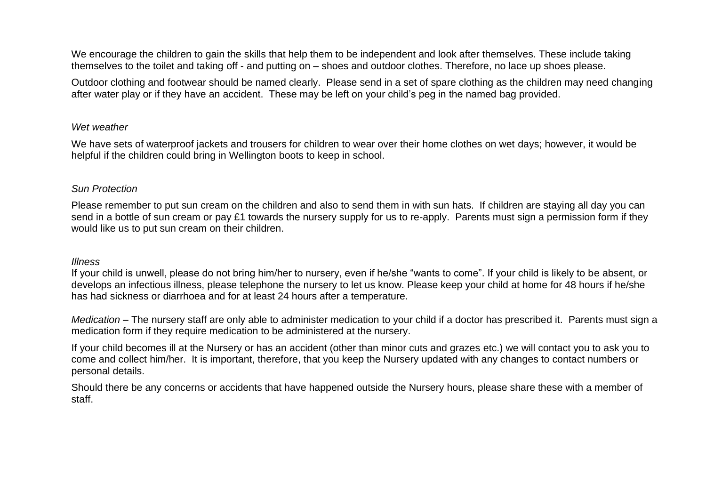We encourage the children to gain the skills that help them to be independent and look after themselves. These include taking themselves to the toilet and taking off - and putting on – shoes and outdoor clothes. Therefore, no lace up shoes please.

Outdoor clothing and footwear should be named clearly. Please send in a set of spare clothing as the children may need changing after water play or if they have an accident. These may be left on your child's peg in the named bag provided.

#### *Wet weather*

We have sets of waterproof jackets and trousers for children to wear over their home clothes on wet days; however, it would be helpful if the children could bring in Wellington boots to keep in school.

#### *Sun Protection*

Please remember to put sun cream on the children and also to send them in with sun hats. If children are staying all day you can send in a bottle of sun cream or pay £1 towards the nursery supply for us to re-apply. Parents must sign a permission form if they would like us to put sun cream on their children.

#### *Illness*

If your child is unwell, please do not bring him/her to nursery, even if he/she "wants to come". If your child is likely to be absent, or develops an infectious illness, please telephone the nursery to let us know. Please keep your child at home for 48 hours if he/she has had sickness or diarrhoea and for at least 24 hours after a temperature.

*Medication* – The nursery staff are only able to administer medication to your child if a doctor has prescribed it. Parents must sign a medication form if they require medication to be administered at the nursery.

If your child becomes ill at the Nursery or has an accident (other than minor cuts and grazes etc.) we will contact you to ask you to come and collect him/her. It is important, therefore, that you keep the Nursery updated with any changes to contact numbers or personal details.

Should there be any concerns or accidents that have happened outside the Nursery hours, please share these with a member of staff.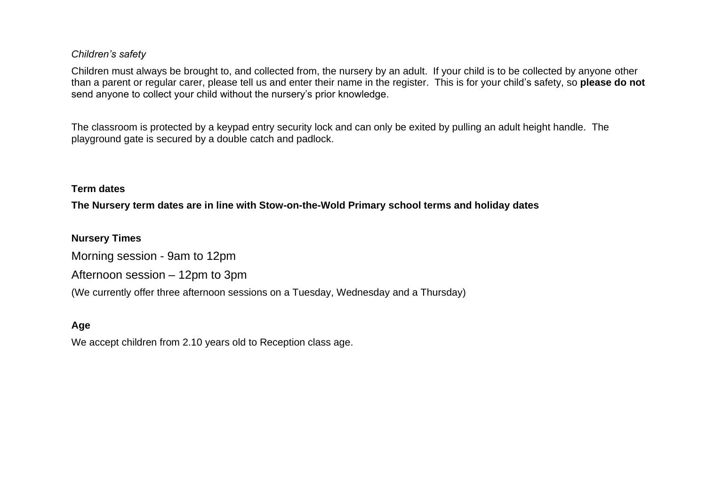#### *Children's safety*

Children must always be brought to, and collected from, the nursery by an adult. If your child is to be collected by anyone other than a parent or regular carer, please tell us and enter their name in the register. This is for your child's safety, so **please do not**  send anyone to collect your child without the nursery's prior knowledge.

The classroom is protected by a keypad entry security lock and can only be exited by pulling an adult height handle. The playground gate is secured by a double catch and padlock.

#### **Term dates**

**The Nursery term dates are in line with Stow-on-the-Wold Primary school terms and holiday dates**

**Nursery Times** Morning session - 9am to 12pm Afternoon session – 12pm to 3pm (We currently offer three afternoon sessions on a Tuesday, Wednesday and a Thursday)

# **Age**

We accept children from 2.10 years old to Reception class age.